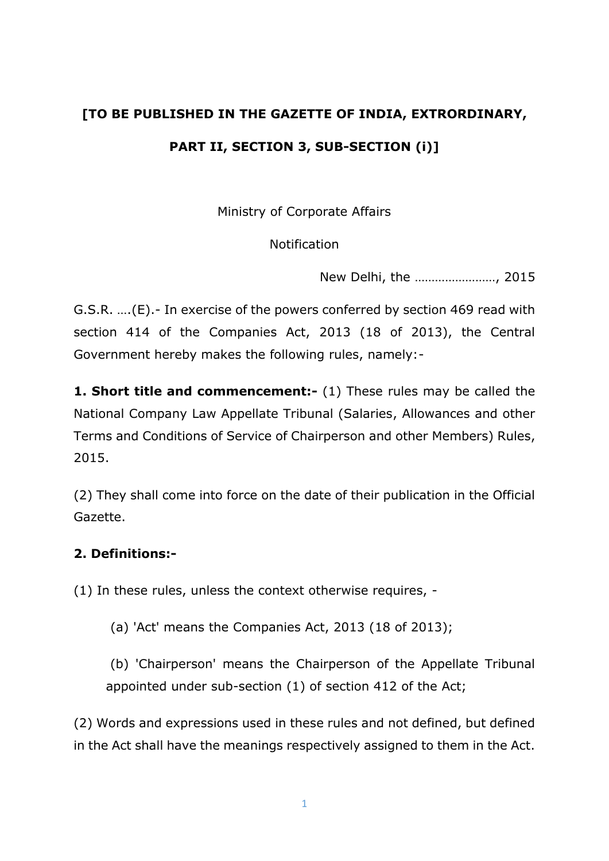# **[TO BE PUBLISHED IN THE GAZETTE OF INDIA, EXTRORDINARY, PART II, SECTION 3, SUB-SECTION (i)]**

Ministry of Corporate Affairs

**Notification** 

New Delhi, the ……………………, 2015

G.S.R. ….(E).- In exercise of the powers conferred by section 469 read with section 414 of the Companies Act, 2013 (18 of 2013), the Central Government hereby makes the following rules, namely:-

**1. Short title and commencement:-** (1) These rules may be called the National Company Law Appellate Tribunal (Salaries, Allowances and other Terms and Conditions of Service of Chairperson and other Members) Rules, 2015.

(2) They shall come into force on the date of their publication in the Official Gazette.

## **2. Definitions:-**

(1) In these rules, unless the context otherwise requires, -

(a) 'Act' means the Companies Act, 2013 (18 of 2013);

(b) 'Chairperson' means the Chairperson of the Appellate Tribunal appointed under sub-section (1) of section 412 of the Act;

(2) Words and expressions used in these rules and not defined, but defined in the Act shall have the meanings respectively assigned to them in the Act.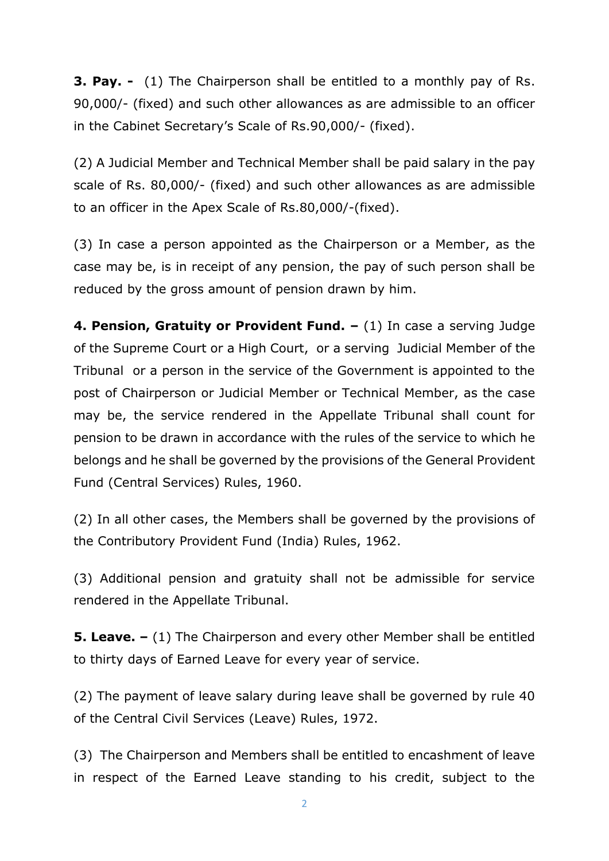**3. Pay. -** (1) The Chairperson shall be entitled to a monthly pay of Rs. 90,000/- (fixed) and such other allowances as are admissible to an officer in the Cabinet Secretary's Scale of Rs.90,000/- (fixed).

(2) A Judicial Member and Technical Member shall be paid salary in the pay scale of Rs. 80,000/- (fixed) and such other allowances as are admissible to an officer in the Apex Scale of Rs.80,000/-(fixed).

(3) In case a person appointed as the Chairperson or a Member, as the case may be, is in receipt of any pension, the pay of such person shall be reduced by the gross amount of pension drawn by him.

**4. Pension, Gratuity or Provident Fund. –** (1) In case a serving Judge of the Supreme Court or a High Court, or a serving Judicial Member of the Tribunal or a person in the service of the Government is appointed to the post of Chairperson or Judicial Member or Technical Member, as the case may be, the service rendered in the Appellate Tribunal shall count for pension to be drawn in accordance with the rules of the service to which he belongs and he shall be governed by the provisions of the General Provident Fund (Central Services) Rules, 1960.

(2) In all other cases, the Members shall be governed by the provisions of the Contributory Provident Fund (India) Rules, 1962.

(3) Additional pension and gratuity shall not be admissible for service rendered in the Appellate Tribunal.

**5. Leave. –** (1) The Chairperson and every other Member shall be entitled to thirty days of Earned Leave for every year of service.

(2) The payment of leave salary during leave shall be governed by rule 40 of the Central Civil Services (Leave) Rules, 1972.

(3) The Chairperson and Members shall be entitled to encashment of leave in respect of the Earned Leave standing to his credit, subject to the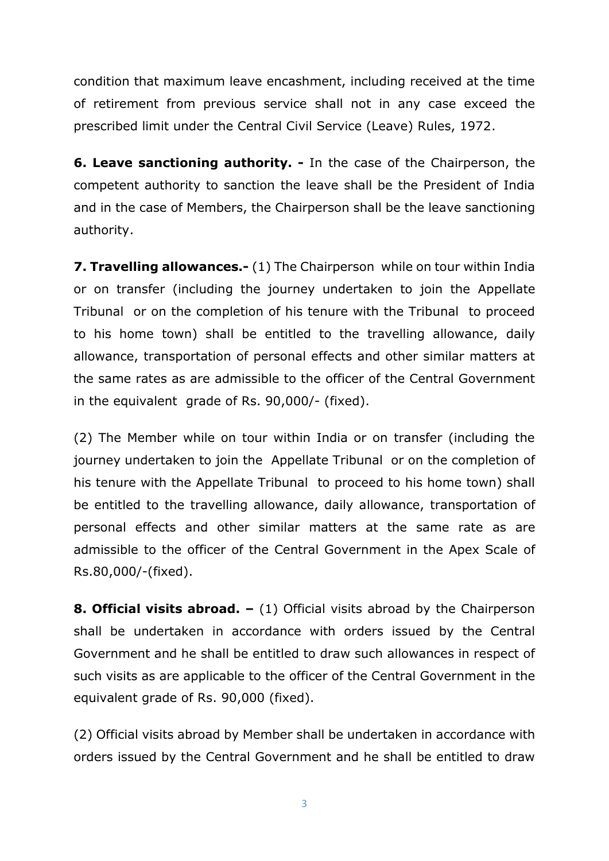condition that maximum leave encashment, including received at the time of retirement from previous service shall not in any case exceed the prescribed limit under the Central Civil Service (Leave) Rules, 1972.

**6. Leave sanctioning authority. -** In the case of the Chairperson, the competent authority to sanction the leave shall be the President of India and in the case of Members, the Chairperson shall be the leave sanctioning authority.

**7. Travelling allowances.-** (1) The Chairperson while on tour within India or on transfer (including the journey undertaken to join the Appellate Tribunal or on the completion of his tenure with the Tribunal to proceed to his home town) shall be entitled to the travelling allowance, daily allowance, transportation of personal effects and other similar matters at the same rates as are admissible to the officer of the Central Government in the equivalent grade of Rs. 90,000/- (fixed).

(2) The Member while on tour within India or on transfer (including the journey undertaken to join the Appellate Tribunal or on the completion of his tenure with the Appellate Tribunal to proceed to his home town) shall be entitled to the travelling allowance, daily allowance, transportation of personal effects and other similar matters at the same rate as are admissible to the officer of the Central Government in the Apex Scale of Rs.80,000/-(fixed).

**8. Official visits abroad. –** (1) Official visits abroad by the Chairperson shall be undertaken in accordance with orders issued by the Central Government and he shall be entitled to draw such allowances in respect of such visits as are applicable to the officer of the Central Government in the equivalent grade of Rs. 90,000 (fixed).

(2) Official visits abroad by Member shall be undertaken in accordance with orders issued by the Central Government and he shall be entitled to draw

3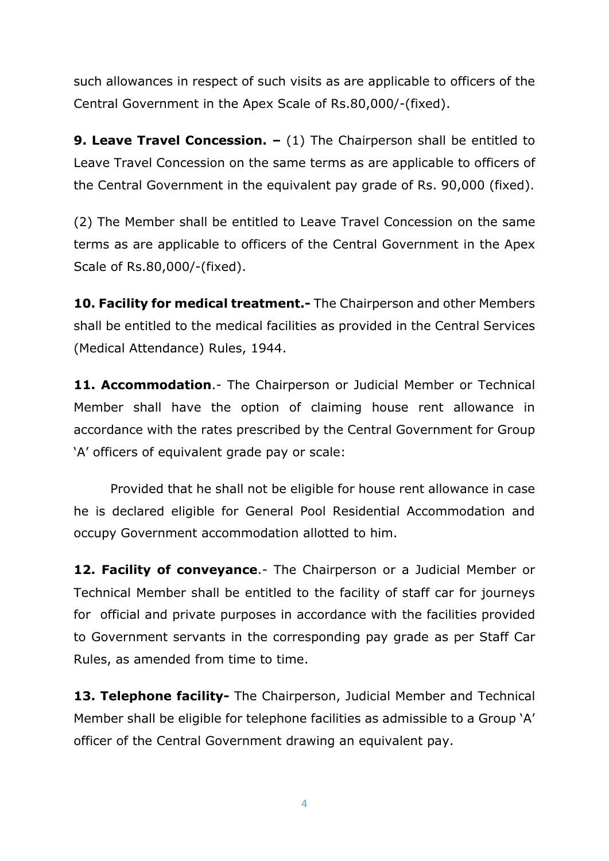such allowances in respect of such visits as are applicable to officers of the Central Government in the Apex Scale of Rs.80,000/-(fixed).

**9. Leave Travel Concession. –** (1) The Chairperson shall be entitled to Leave Travel Concession on the same terms as are applicable to officers of the Central Government in the equivalent pay grade of Rs. 90,000 (fixed).

(2) The Member shall be entitled to Leave Travel Concession on the same terms as are applicable to officers of the Central Government in the Apex Scale of Rs.80,000/-(fixed).

**10. Facility for medical treatment.-** The Chairperson and other Members shall be entitled to the medical facilities as provided in the Central Services (Medical Attendance) Rules, 1944.

**11. Accommodation**.- The Chairperson or Judicial Member or Technical Member shall have the option of claiming house rent allowance in accordance with the rates prescribed by the Central Government for Group 'A' officers of equivalent grade pay or scale:

Provided that he shall not be eligible for house rent allowance in case he is declared eligible for General Pool Residential Accommodation and occupy Government accommodation allotted to him.

12. Facility of conveyance.- The Chairperson or a Judicial Member or Technical Member shall be entitled to the facility of staff car for journeys for official and private purposes in accordance with the facilities provided to Government servants in the corresponding pay grade as per Staff Car Rules, as amended from time to time.

13. Telephone facility- The Chairperson, Judicial Member and Technical Member shall be eligible for telephone facilities as admissible to a Group 'A' officer of the Central Government drawing an equivalent pay.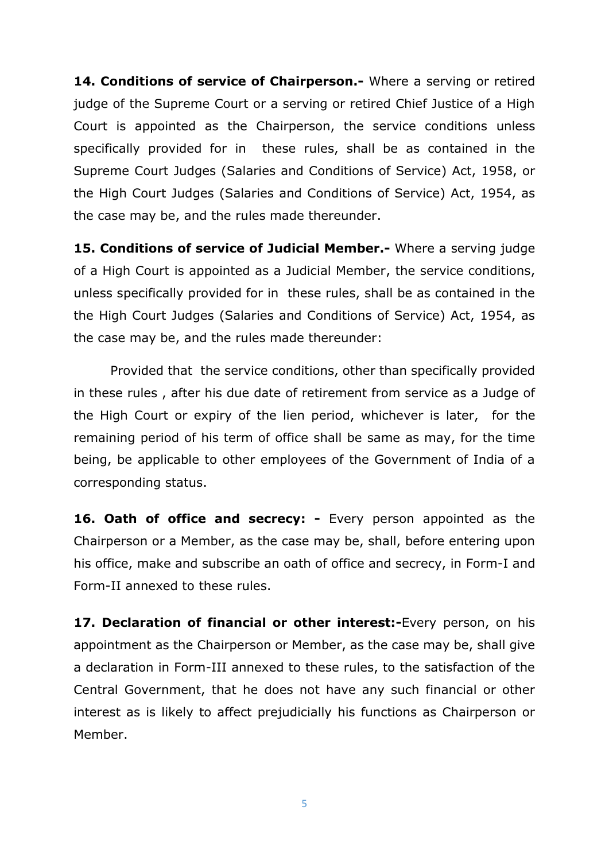14. Conditions of service of Chairperson.- Where a serving or retired judge of the Supreme Court or a serving or retired Chief Justice of a High Court is appointed as the Chairperson, the service conditions unless specifically provided for in these rules, shall be as contained in the Supreme Court Judges (Salaries and Conditions of Service) Act, 1958, or the High Court Judges (Salaries and Conditions of Service) Act, 1954, as the case may be, and the rules made thereunder.

**15. Conditions of service of Judicial Member.-** Where a serving judge of a High Court is appointed as a Judicial Member, the service conditions, unless specifically provided for in these rules, shall be as contained in the the High Court Judges (Salaries and Conditions of Service) Act, 1954, as the case may be, and the rules made thereunder:

Provided that the service conditions, other than specifically provided in these rules , after his due date of retirement from service as a Judge of the High Court or expiry of the lien period, whichever is later, for the remaining period of his term of office shall be same as may, for the time being, be applicable to other employees of the Government of India of a corresponding status.

16. Oath of office and secrecy: - Every person appointed as the Chairperson or a Member, as the case may be, shall, before entering upon his office, make and subscribe an oath of office and secrecy, in Form-I and Form-II annexed to these rules.

17. Declaration of financial or other interest:-Every person, on his appointment as the Chairperson or Member, as the case may be, shall give a declaration in Form-III annexed to these rules, to the satisfaction of the Central Government, that he does not have any such financial or other interest as is likely to affect prejudicially his functions as Chairperson or Member.

5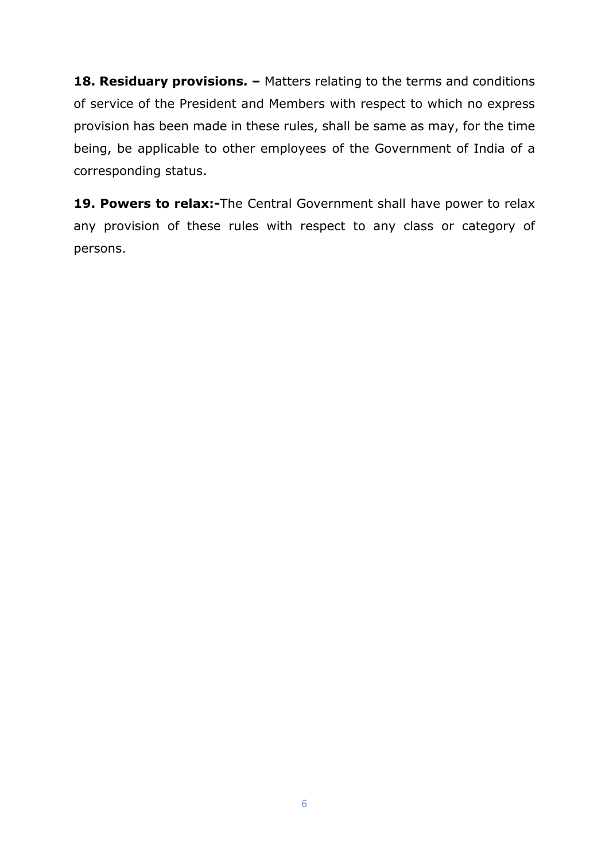**18. Residuary provisions. -** Matters relating to the terms and conditions of service of the President and Members with respect to which no express provision has been made in these rules, shall be same as may, for the time being, be applicable to other employees of the Government of India of a corresponding status.

19. Powers to relax:-The Central Government shall have power to relax any provision of these rules with respect to any class or category of persons.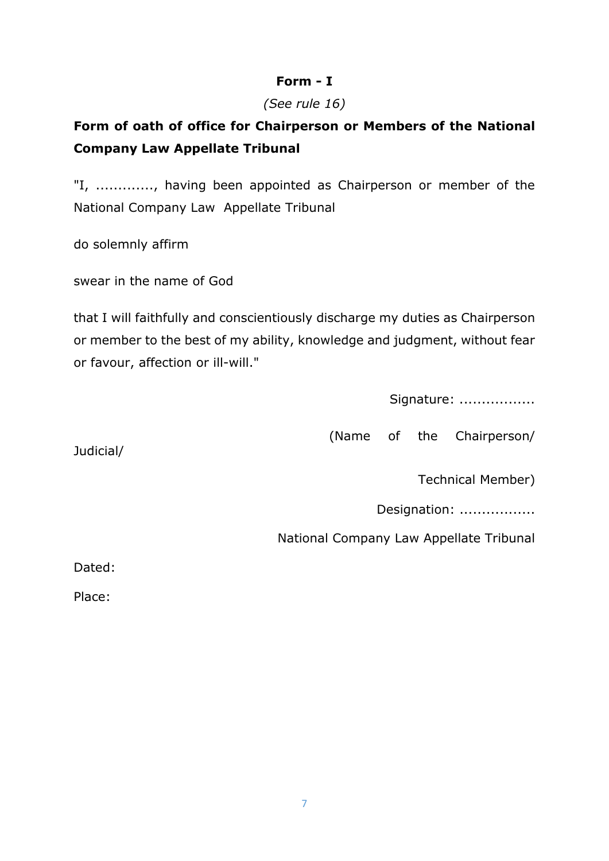## **Form - I**

### *(See rule 16)*

# **Form of oath of office for Chairperson or Members of the National Company Law Appellate Tribunal**

"I, ............., having been appointed as Chairperson or member of the National Company Law Appellate Tribunal

do solemnly affirm

swear in the name of God

that I will faithfully and conscientiously discharge my duties as Chairperson or member to the best of my ability, knowledge and judgment, without fear or favour, affection or ill-will."

Signature: ..................

(Name of the Chairperson/

Judicial/

Technical Member)

Designation: .................

National Company Law Appellate Tribunal

Dated:

Place: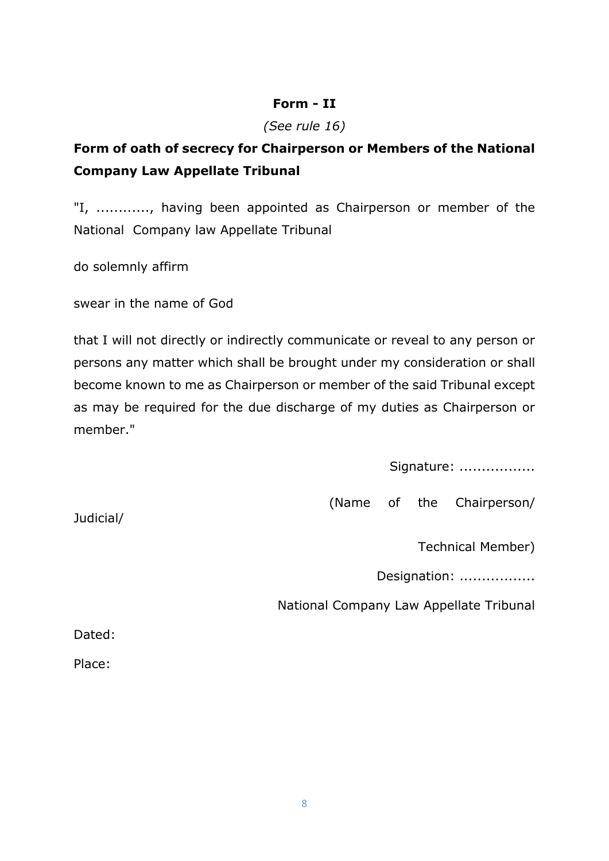#### **Form - II**

#### *(See rule 16)*

# **Form of oath of secrecy for Chairperson or Members of the National Company Law Appellate Tribunal**

"I, ............, having been appointed as Chairperson or member of the National Company law Appellate Tribunal

do solemnly affirm

swear in the name of God

that I will not directly or indirectly communicate or reveal to any person or persons any matter which shall be brought under my consideration or shall become known to me as Chairperson or member of the said Tribunal except as may be required for the due discharge of my duties as Chairperson or member."

Signature: ..................

(Name of the Chairperson/

Technical Member)

Designation: .................

National Company Law Appellate Tribunal

Dated:

Judicial/

Place: